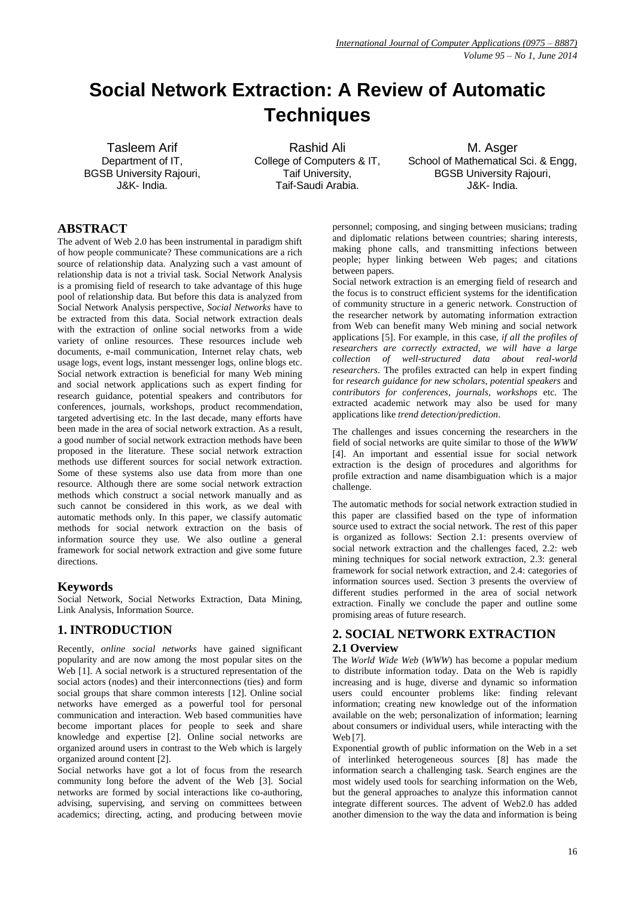# **Social Network Extraction: A Review of Automatic Techniques**

Tasleem Arif Department of IT, BGSB University Rajouri, J&K- India.

Rashid Ali College of Computers & IT, Taif University, Taif-Saudi Arabia.

M. Asger School of Mathematical Sci. & Engg. BGSB University Rajouri, J&K- India.

# **ABSTRACT**

The advent of Web 2.0 has been instrumental in paradigm shift of how people communicate? These communications are a rich source of relationship data. Analyzing such a vast amount of relationship data is not a trivial task. Social Network Analysis is a promising field of research to take advantage of this huge pool of relationship data. But before this data is analyzed from Social Network Analysis perspective, *Social Networks* have to be extracted from this data. Social network extraction deals with the extraction of online social networks from a wide variety of online resources. These resources include web documents, e-mail communication, Internet relay chats, web usage logs, event logs, instant messenger logs, online blogs etc. Social network extraction is beneficial for many Web mining and social network applications such as expert finding for research guidance, potential speakers and contributors for conferences, journals, workshops, product recommendation, targeted advertising etc. In the last decade, many efforts have been made in the area of social network extraction. As a result, a good number of social network extraction methods have been proposed in the literature. These social network extraction methods use different sources for social network extraction. Some of these systems also use data from more than one resource. Although there are some social network extraction methods which construct a social network manually and as such cannot be considered in this work, as we deal with automatic methods only. In this paper, we classify automatic methods for social network extraction on the basis of information source they use. We also outline a general framework for social network extraction and give some future directions.

## **Keywords**

Social Network, Social Networks Extraction, Data Mining, Link Analysis, Information Source.

# **1. INTRODUCTION**

Recently, *online social networks* have gained significant popularity and are now among the most popular sites on the Web [1]. A social network is a structured representation of the social actors (nodes) and their interconnections (ties) and form social groups that share common interests [12]. Online social networks have emerged as a powerful tool for personal communication and interaction. Web based communities have become important places for people to seek and share knowledge and expertise [2]. Online social networks are organized around users in contrast to the Web which is largely organized around content [2].

Social networks have got a lot of focus from the research community long before the advent of the Web [3]. Social networks are formed by social interactions like co-authoring, advising, supervising, and serving on committees between academics; directing, acting, and producing between movie

personnel; composing, and singing between musicians; trading and diplomatic relations between countries; sharing interests, making phone calls, and transmitting infections between people; hyper linking between Web pages; and citations between papers.

Social network extraction is an emerging field of research and the focus is to construct efficient systems for the identification of community structure in a generic network. Construction of the researcher network by automating information extraction from Web can benefit many Web mining and social network applications [5]. For example, in this case, *if all the profiles of researchers are correctly extracted, we will have a large collection of well-structured data about real-world researchers*. The profiles extracted can help in expert finding for *research guidance for new scholars*, *potential speakers* and *contributors for conferences, journals, workshops* etc. The extracted academic network may also be used for many applications like *trend detection/prediction*.

The challenges and issues concerning the researchers in the field of social networks are quite similar to those of the *WWW* [4]. An important and essential issue for social network extraction is the design of procedures and algorithms for profile extraction and name disambiguation which is a major challenge.

The automatic methods for social network extraction studied in this paper are classified based on the type of information source used to extract the social network. The rest of this paper is organized as follows: Section 2.1: presents overview of social network extraction and the challenges faced, 2.2: web mining techniques for social network extraction, 2.3: general framework for social network extraction, and 2.4: categories of information sources used. Section 3 presents the overview of different studies performed in the area of social network extraction. Finally we conclude the paper and outline some promising areas of future research.

# **2. SOCIAL NETWORK EXTRACTION 2.1 Overview**

The *World Wide Web* (*WWW*) has become a popular medium to distribute information today. Data on the Web is rapidly increasing and is huge, diverse and dynamic so information users could encounter problems like: finding relevant information; creating new knowledge out of the information available on the web; personalization of information; learning about consumers or individual users, while interacting with the Web [7].

Exponential growth of public information on the Web in a set of interlinked heterogeneous sources [8] has made the information search a challenging task. Search engines are the most widely used tools for searching information on the Web, but the general approaches to analyze this information cannot integrate different sources. The advent of Web2.0 has added another dimension to the way the data and information is being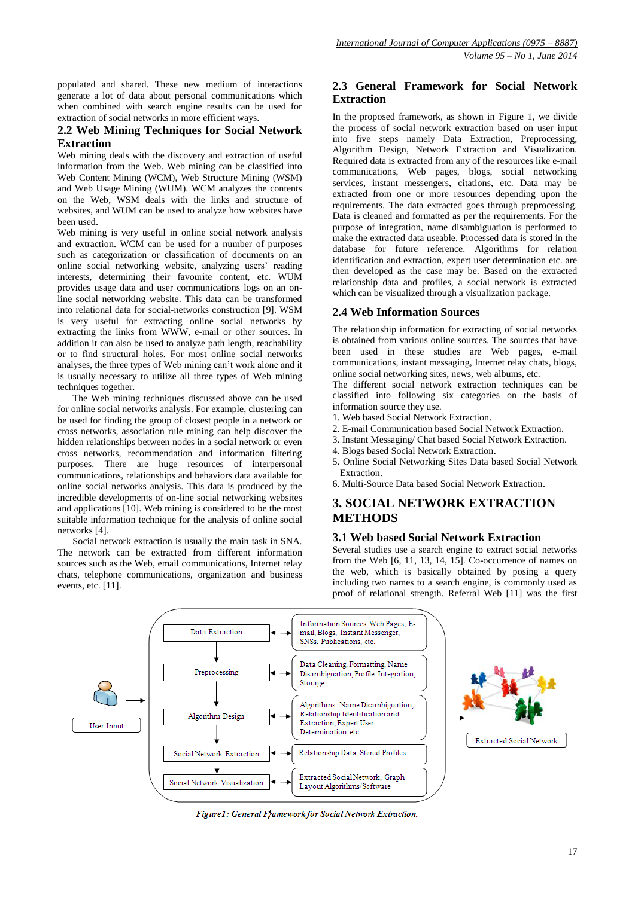populated and shared. These new medium of interactions generate a lot of data about personal communications which when combined with search engine results can be used for extraction of social networks in more efficient ways.

#### **2.2 Web Mining Techniques for Social Network Extraction**

Web mining deals with the discovery and extraction of useful information from the Web. Web mining can be classified into Web Content Mining (WCM), Web Structure Mining (WSM) and Web Usage Mining (WUM). WCM analyzes the contents on the Web, WSM deals with the links and structure of websites, and WUM can be used to analyze how websites have been used.

Web mining is very useful in online social network analysis and extraction. WCM can be used for a number of purposes such as categorization or classification of documents on an online social networking website, analyzing users' reading interests, determining their favourite content, etc. WUM provides usage data and user communications logs on an online social networking website. This data can be transformed into relational data for social-networks construction [9]. WSM is very useful for extracting online social networks by extracting the links from WWW, e-mail or other sources. In addition it can also be used to analyze path length, reachability or to find structural holes. For most online social networks analyses, the three types of Web mining can't work alone and it is usually necessary to utilize all three types of Web mining techniques together.

The Web mining techniques discussed above can be used for online social networks analysis. For example, clustering can be used for finding the group of closest people in a network or cross networks, association rule mining can help discover the hidden relationships between nodes in a social network or even cross networks, recommendation and information filtering purposes. There are huge resources of interpersonal communications, relationships and behaviors data available for online social networks analysis. This data is produced by the incredible developments of on-line social networking websites and applications [10]. Web mining is considered to be the most suitable information technique for the analysis of online social networks [4].

Social network extraction is usually the main task in SNA. The network can be extracted from different information sources such as the Web, email communications, Internet relay chats, telephone communications, organization and business events, etc. [11].

## **2.3 General Framework for Social Network Extraction**

In the proposed framework, as shown in Figure 1, we divide the process of social network extraction based on user input into five steps namely Data Extraction, Preprocessing, Algorithm Design, Network Extraction and Visualization. Required data is extracted from any of the resources like e-mail communications, Web pages, blogs, social networking services, instant messengers, citations, etc. Data may be extracted from one or more resources depending upon the requirements. The data extracted goes through preprocessing. Data is cleaned and formatted as per the requirements. For the purpose of integration, name disambiguation is performed to make the extracted data useable. Processed data is stored in the database for future reference. Algorithms for relation identification and extraction, expert user determination etc. are then developed as the case may be. Based on the extracted relationship data and profiles, a social network is extracted which can be visualized through a visualization package.

## **2.4 Web Information Sources**

The relationship information for extracting of social networks is obtained from various online sources. The sources that have been used in these studies are Web pages, e-mail communications, instant messaging, Internet relay chats, blogs, online social networking sites, news, web albums, etc.

The different social network extraction techniques can be classified into following six categories on the basis of information source they use.

- 1. Web based Social Network Extraction.
- 2. E-mail Communication based Social Network Extraction.
- 3. Instant Messaging/ Chat based Social Network Extraction.
- 4. Blogs based Social Network Extraction.
- 5. Online Social Networking Sites Data based Social Network Extraction.
- 6. Multi-Source Data based Social Network Extraction.

# **3. SOCIAL NETWORK EXTRACTION METHODS**

#### **3.1 Web based Social Network Extraction**

Several studies use a search engine to extract social networks from the Web [6, 11, 13, 14, 15]. Co-occurrence of names on the web, which is basically obtained by posing a query including two names to a search engine, is commonly used as proof of relational strength. Referral Web [11] was the first



Figure1: General Framework for Social Network Extraction.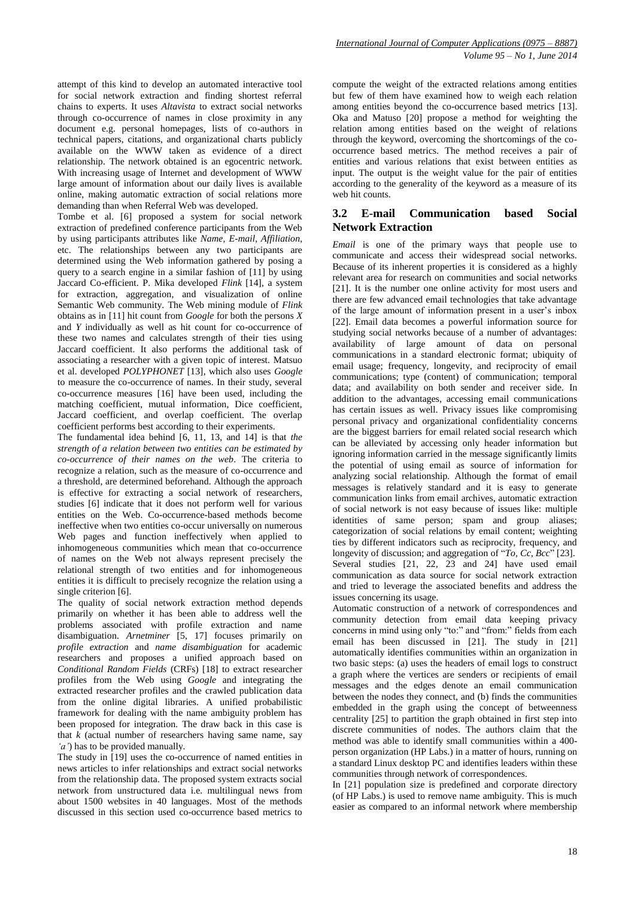attempt of this kind to develop an automated interactive tool for social network extraction and finding shortest referral chains to experts. It uses *Altavista* to extract social networks through co-occurrence of names in close proximity in any document e.g. personal homepages, lists of co-authors in technical papers, citations, and organizational charts publicly available on the WWW taken as evidence of a direct relationship. The network obtained is an egocentric network. With increasing usage of Internet and development of WWW large amount of information about our daily lives is available online, making automatic extraction of social relations more demanding than when Referral Web was developed.

Tombe et al. [6] proposed a system for social network extraction of predefined conference participants from the Web by using participants attributes like *Name*, *E-mail*, *Affiliation*, etc. The relationships between any two participants are determined using the Web information gathered by posing a query to a search engine in a similar fashion of [11] by using Jaccard Co-efficient. P. Mika developed *Flink* [14], a system for extraction, aggregation, and visualization of online Semantic Web community. The Web mining module of *Flink* obtains as in [11] hit count from *Google* for both the persons *X* and *Y* individually as well as hit count for co-occurrence of these two names and calculates strength of their ties using Jaccard coefficient. It also performs the additional task of associating a researcher with a given topic of interest. Matsuo et al. developed *POLYPHONET* [13], which also uses *Google* to measure the co-occurrence of names. In their study, several co-occurrence measures [16] have been used, including the matching coefficient, mutual information, Dice coefficient, Jaccard coefficient, and overlap coefficient. The overlap coefficient performs best according to their experiments.

The fundamental idea behind [6, 11, 13, and 14] is that *the strength of a relation between two entities can be estimated by co-occurrence of their names on the web*. The criteria to recognize a relation, such as the measure of co-occurrence and a threshold, are determined beforehand. Although the approach is effective for extracting a social network of researchers, studies [6] indicate that it does not perform well for various entities on the Web. Co-occurrence-based methods become ineffective when two entities co-occur universally on numerous Web pages and function ineffectively when applied to inhomogeneous communities which mean that co-occurrence of names on the Web not always represent precisely the relational strength of two entities and for inhomogeneous entities it is difficult to precisely recognize the relation using a single criterion [6].

The quality of social network extraction method depends primarily on whether it has been able to address well the problems associated with profile extraction and name disambiguation. *Arnetminer* [5, 17] focuses primarily on *profile extraction* and *name disambiguation* for academic researchers and proposes a unified approach based on *Conditional Random Fields* (CRFs) [18] to extract researcher profiles from the Web using *Google* and integrating the extracted researcher profiles and the crawled publication data from the online digital libraries. A unified probabilistic framework for dealing with the name ambiguity problem has been proposed for integration. The draw back in this case is that *k* (actual number of researchers having same name, say *'a'*) has to be provided manually.

The study in [19] uses the co-occurrence of named entities in news articles to infer relationships and extract social networks from the relationship data. The proposed system extracts social network from unstructured data i.e. multilingual news from about 1500 websites in 40 languages. Most of the methods discussed in this section used co-occurrence based metrics to compute the weight of the extracted relations among entities but few of them have examined how to weigh each relation among entities beyond the co-occurrence based metrics [13]. Oka and Matuso [20] propose a method for weighting the relation among entities based on the weight of relations through the keyword, overcoming the shortcomings of the cooccurrence based metrics. The method receives a pair of entities and various relations that exist between entities as input. The output is the weight value for the pair of entities according to the generality of the keyword as a measure of its web hit counts.

# **3.2 E-mail Communication based Social Network Extraction**

*Email* is one of the primary ways that people use to communicate and access their widespread social networks. Because of its inherent properties it is considered as a highly relevant area for research on communities and social networks [21]. It is the number one online activity for most users and there are few advanced email technologies that take advantage of the large amount of information present in a user's inbox [22]. Email data becomes a powerful information source for studying social networks because of a number of advantages: availability of large amount of data on personal communications in a standard electronic format; ubiquity of email usage; frequency, longevity, and reciprocity of email communications; type (content) of communication; temporal data; and availability on both sender and receiver side. In addition to the advantages, accessing email communications has certain issues as well. Privacy issues like compromising personal privacy and organizational confidentiality concerns are the biggest barriers for email related social research which can be alleviated by accessing only header information but ignoring information carried in the message significantly limits the potential of using email as source of information for analyzing social relationship. Although the format of email messages is relatively standard and it is easy to generate communication links from email archives, automatic extraction of social network is not easy because of issues like: multiple identities of same person; spam and group aliases; categorization of social relations by email content; weighting ties by different indicators such as reciprocity, frequency, and longevity of discussion; and aggregation of "*To, Cc, Bcc*" [23]. Several studies [21, 22, 23 and 24] have used email communication as data source for social network extraction and tried to leverage the associated benefits and address the issues concerning its usage.

Automatic construction of a network of correspondences and community detection from email data keeping privacy concerns in mind using only "to:" and "from:" fields from each email has been discussed in [21]. The study in [21] automatically identifies communities within an organization in two basic steps: (a) uses the headers of email logs to construct a graph where the vertices are senders or recipients of email messages and the edges denote an email communication between the nodes they connect, and (b) finds the communities embedded in the graph using the concept of betweenness centrality [25] to partition the graph obtained in first step into discrete communities of nodes. The authors claim that the method was able to identify small communities within a 400 person organization (HP Labs.) in a matter of hours, running on a standard Linux desktop PC and identifies leaders within these communities through network of correspondences.

In [21] population size is predefined and corporate directory (of HP Labs.) is used to remove name ambiguity. This is much easier as compared to an informal network where membership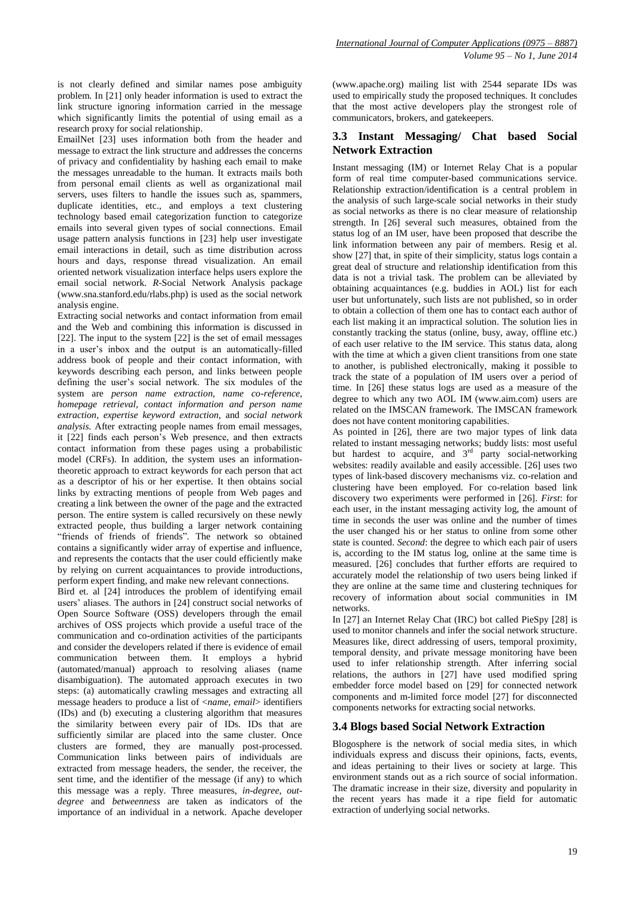is not clearly defined and similar names pose ambiguity problem. In [21] only header information is used to extract the link structure ignoring information carried in the message which significantly limits the potential of using email as a research proxy for social relationship.

EmailNet [23] uses information both from the header and message to extract the link structure and addresses the concerns of privacy and confidentiality by hashing each email to make the messages unreadable to the human. It extracts mails both from personal email clients as well as organizational mail servers, uses filters to handle the issues such as, spammers, duplicate identities, etc., and employs a text clustering technology based email categorization function to categorize emails into several given types of social connections. Email usage pattern analysis functions in [23] help user investigate email interactions in detail, such as time distribution across hours and days, response thread visualization. An email oriented network visualization interface helps users explore the email social network. *R-*Social Network Analysis package (www.sna.stanford.edu/rlabs.php) is used as the social network analysis engine.

Extracting social networks and contact information from email and the Web and combining this information is discussed in [22]. The input to the system [22] is the set of email messages in a user's inbox and the output is an automatically-filled address book of people and their contact information, with keywords describing each person, and links between people defining the user's social network. The six modules of the system are *person name extraction, name co-reference, homepage retrieval, contact information and person name extraction, expertise keyword extraction,* and *social network analysis.* After extracting people names from email messages, it [22] finds each person's Web presence, and then extracts contact information from these pages using a probabilistic model (CRFs). In addition, the system uses an informationtheoretic approach to extract keywords for each person that act as a descriptor of his or her expertise. It then obtains social links by extracting mentions of people from Web pages and creating a link between the owner of the page and the extracted person. The entire system is called recursively on these newly extracted people, thus building a larger network containing "friends of friends of friends". The network so obtained contains a significantly wider array of expertise and influence, and represents the contacts that the user could efficiently make by relying on current acquaintances to provide introductions, perform expert finding, and make new relevant connections.

Bird et. al [24] introduces the problem of identifying email users' aliases. The authors in [24] construct social networks of Open Source Software (OSS) developers through the email archives of OSS projects which provide a useful trace of the communication and co-ordination activities of the participants and consider the developers related if there is evidence of email communication between them. It employs a hybrid (automated/manual) approach to resolving aliases (name disambiguation). The automated approach executes in two steps: (a) automatically crawling messages and extracting all message headers to produce a list of <*name*, *email*> identifiers (IDs) and (b) executing a clustering algorithm that measures the similarity between every pair of IDs. IDs that are sufficiently similar are placed into the same cluster. Once clusters are formed, they are manually post-processed. Communication links between pairs of individuals are extracted from message headers, the sender, the receiver, the sent time, and the identifier of the message (if any) to which this message was a reply. Three measures, *in-degree*, *outdegree* and *betweenness* are taken as indicators of the importance of an individual in a network. Apache developer (www.apache.org) mailing list with 2544 separate IDs was used to empirically study the proposed techniques. It concludes that the most active developers play the strongest role of communicators, brokers, and gatekeepers.

## **3.3 Instant Messaging/ Chat based Social Network Extraction**

Instant messaging (IM) or Internet Relay Chat is a popular form of real time computer-based communications service. Relationship extraction/identification is a central problem in the analysis of such large-scale social networks in their study as social networks as there is no clear measure of relationship strength. In [26] several such measures, obtained from the status log of an IM user, have been proposed that describe the link information between any pair of members. Resig et al. show [27] that, in spite of their simplicity, status logs contain a great deal of structure and relationship identification from this data is not a trivial task. The problem can be alleviated by obtaining acquaintances (e.g. buddies in AOL) list for each user but unfortunately, such lists are not published, so in order to obtain a collection of them one has to contact each author of each list making it an impractical solution. The solution lies in constantly tracking the status (online, busy, away, offline etc.) of each user relative to the IM service. This status data, along with the time at which a given client transitions from one state to another, is published electronically, making it possible to track the state of a population of IM users over a period of time. In [26] these status logs are used as a measure of the degree to which any two AOL IM (www.aim.com) users are related on the IMSCAN framework. The IMSCAN framework does not have content monitoring capabilities.

As pointed in [26], there are two major types of link data related to instant messaging networks; buddy lists: most useful but hardest to acquire, and  $3<sup>rd</sup>$  party social-networking websites: readily available and easily accessible. [26] uses two types of link-based discovery mechanisms viz. co-relation and clustering have been employed. For co-relation based link discovery two experiments were performed in [26]. *First*: for each user, in the instant messaging activity log, the amount of time in seconds the user was online and the number of times the user changed his or her status to online from some other state is counted. *Second*: the degree to which each pair of users is, according to the IM status log, online at the same time is measured. [26] concludes that further efforts are required to accurately model the relationship of two users being linked if they are online at the same time and clustering techniques for recovery of information about social communities in IM networks.

In [27] an Internet Relay Chat (IRC) bot called PieSpy [28] is used to monitor channels and infer the social network structure. Measures like, direct addressing of users, temporal proximity, temporal density, and private message monitoring have been used to infer relationship strength. After inferring social relations, the authors in [27] have used modified spring embedder force model based on [29] for connected network components and m-limited force model [27] for disconnected components networks for extracting social networks.

#### **3.4 Blogs based Social Network Extraction**

Blogosphere is the network of social media sites, in which individuals express and discuss their opinions, facts, events, and ideas pertaining to their lives or society at large. This environment stands out as a rich source of social information. The dramatic increase in their size, diversity and popularity in the recent years has made it a ripe field for automatic extraction of underlying social networks.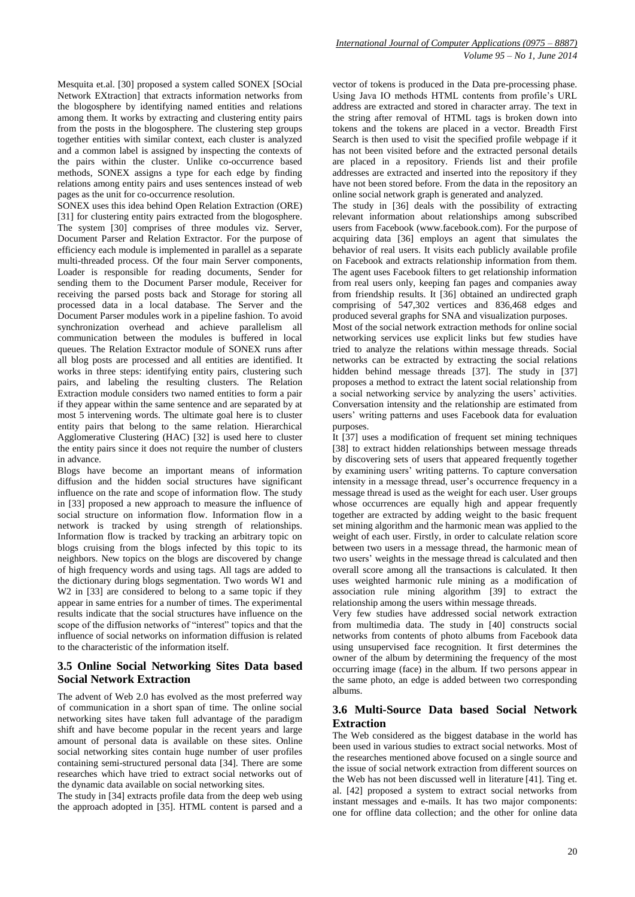Mesquita et.al. [30] proposed a system called SONEX [SOcial Network EXtraction] that extracts information networks from the blogosphere by identifying named entities and relations among them. It works by extracting and clustering entity pairs from the posts in the blogosphere. The clustering step groups together entities with similar context, each cluster is analyzed and a common label is assigned by inspecting the contexts of the pairs within the cluster. Unlike co-occurrence based methods, SONEX assigns a type for each edge by finding relations among entity pairs and uses sentences instead of web pages as the unit for co-occurrence resolution.

SONEX uses this idea behind Open Relation Extraction (ORE) [31] for clustering entity pairs extracted from the blogosphere. The system [30] comprises of three modules viz. Server, Document Parser and Relation Extractor. For the purpose of efficiency each module is implemented in parallel as a separate multi-threaded process. Of the four main Server components, Loader is responsible for reading documents, Sender for sending them to the Document Parser module, Receiver for receiving the parsed posts back and Storage for storing all processed data in a local database. The Server and the Document Parser modules work in a pipeline fashion. To avoid synchronization overhead and achieve parallelism all communication between the modules is buffered in local queues. The Relation Extractor module of SONEX runs after all blog posts are processed and all entities are identified. It works in three steps: identifying entity pairs, clustering such pairs, and labeling the resulting clusters. The Relation Extraction module considers two named entities to form a pair if they appear within the same sentence and are separated by at most 5 intervening words. The ultimate goal here is to cluster entity pairs that belong to the same relation. Hierarchical Agglomerative Clustering (HAC) [32] is used here to cluster the entity pairs since it does not require the number of clusters in advance.

Blogs have become an important means of information diffusion and the hidden social structures have significant influence on the rate and scope of information flow. The study in [33] proposed a new approach to measure the influence of social structure on information flow. Information flow in a network is tracked by using strength of relationships. Information flow is tracked by tracking an arbitrary topic on blogs cruising from the blogs infected by this topic to its neighbors. New topics on the blogs are discovered by change of high frequency words and using tags. All tags are added to the dictionary during blogs segmentation. Two words W1 and W<sub>2</sub> in [33] are considered to belong to a same topic if they appear in same entries for a number of times. The experimental results indicate that the social structures have influence on the scope of the diffusion networks of "interest" topics and that the influence of social networks on information diffusion is related to the characteristic of the information itself.

#### **3.5 Online Social Networking Sites Data based Social Network Extraction**

The advent of Web 2.0 has evolved as the most preferred way of communication in a short span of time. The online social networking sites have taken full advantage of the paradigm shift and have become popular in the recent years and large amount of personal data is available on these sites. Online social networking sites contain huge number of user profiles containing semi-structured personal data [34]. There are some researches which have tried to extract social networks out of the dynamic data available on social networking sites.

The study in [34] extracts profile data from the deep web using the approach adopted in [35]. HTML content is parsed and a vector of tokens is produced in the Data pre-processing phase. Using Java IO methods HTML contents from profile's URL address are extracted and stored in character array. The text in the string after removal of HTML tags is broken down into tokens and the tokens are placed in a vector. Breadth First Search is then used to visit the specified profile webpage if it has not been visited before and the extracted personal details are placed in a repository. Friends list and their profile addresses are extracted and inserted into the repository if they have not been stored before. From the data in the repository an online social network graph is generated and analyzed.

The study in [36] deals with the possibility of extracting relevant information about relationships among subscribed users from Facebook (www.facebook.com). For the purpose of acquiring data [36] employs an agent that simulates the behavior of real users. It visits each publicly available profile on Facebook and extracts relationship information from them. The agent uses Facebook filters to get relationship information from real users only, keeping fan pages and companies away from friendship results. It [36] obtained an undirected graph comprising of 547,302 vertices and 836,468 edges and produced several graphs for SNA and visualization purposes.

Most of the social network extraction methods for online social networking services use explicit links but few studies have tried to analyze the relations within message threads. Social networks can be extracted by extracting the social relations hidden behind message threads [37]. The study in [37] proposes a method to extract the latent social relationship from a social networking service by analyzing the users' activities. Conversation intensity and the relationship are estimated from users' writing patterns and uses Facebook data for evaluation purposes.

It [37] uses a modification of frequent set mining techniques [38] to extract hidden relationships between message threads by discovering sets of users that appeared frequently together by examining users' writing patterns. To capture conversation intensity in a message thread, user's occurrence frequency in a message thread is used as the weight for each user. User groups whose occurrences are equally high and appear frequently together are extracted by adding weight to the basic frequent set mining algorithm and the harmonic mean was applied to the weight of each user. Firstly, in order to calculate relation score between two users in a message thread, the harmonic mean of two users' weights in the message thread is calculated and then overall score among all the transactions is calculated. It then uses weighted harmonic rule mining as a modification of association rule mining algorithm [39] to extract the relationship among the users within message threads.

Very few studies have addressed social network extraction from multimedia data. The study in [40] constructs social networks from contents of photo albums from Facebook data using unsupervised face recognition. It first determines the owner of the album by determining the frequency of the most occurring image (face) in the album. If two persons appear in the same photo, an edge is added between two corresponding albums.

## **3.6 Multi-Source Data based Social Network Extraction**

The Web considered as the biggest database in the world has been used in various studies to extract social networks. Most of the researches mentioned above focused on a single source and the issue of social network extraction from different sources on the Web has not been discussed well in literature [41]. Ting et. al. [42] proposed a system to extract social networks from instant messages and e-mails. It has two major components: one for offline data collection; and the other for online data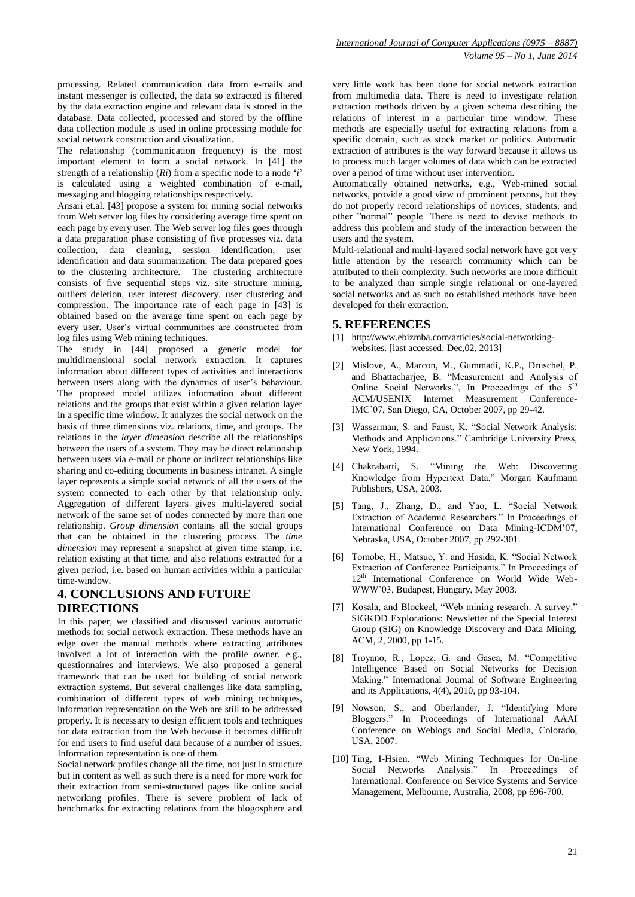processing. Related communication data from e-mails and instant messenger is collected, the data so extracted is filtered by the data extraction engine and relevant data is stored in the database. Data collected, processed and stored by the offline data collection module is used in online processing module for social network construction and visualization.

The relationship (communication frequency) is the most important element to form a social network. In [41] the strength of a relationship (*Ri*) from a specific node to a node '*i*' is calculated using a weighted combination of e-mail, messaging and blogging relationships respectively.

Ansari et.al. [43] propose a system for mining social networks from Web server log files by considering average time spent on each page by every user. The Web server log files goes through a data preparation phase consisting of five processes viz. data collection, data cleaning, session identification, user identification and data summarization. The data prepared goes to the clustering architecture. The clustering architecture consists of five sequential steps viz. site structure mining, outliers deletion, user interest discovery, user clustering and compression. The importance rate of each page in [43] is obtained based on the average time spent on each page by every user. User's virtual communities are constructed from log files using Web mining techniques.

The study in [44] proposed a generic model for multidimensional social network extraction. It captures information about different types of activities and interactions between users along with the dynamics of user's behaviour. The proposed model utilizes information about different relations and the groups that exist within a given relation layer in a specific time window. It analyzes the social network on the basis of three dimensions viz. relations, time, and groups. The relations in the *layer dimension* describe all the relationships between the users of a system. They may be direct relationship between users via e-mail or phone or indirect relationships like sharing and co-editing documents in business intranet. A single layer represents a simple social network of all the users of the system connected to each other by that relationship only. Aggregation of different layers gives multi-layered social network of the same set of nodes connected by more than one relationship. *Group dimension* contains all the social groups that can be obtained in the clustering process. The *time dimension* may represent a snapshot at given time stamp, i.e. relation existing at that time, and also relations extracted for a given period, i.e. based on human activities within a particular time-window.

## **4. CONCLUSIONS AND FUTURE DIRECTIONS**

In this paper, we classified and discussed various automatic methods for social network extraction. These methods have an edge over the manual methods where extracting attributes involved a lot of interaction with the profile owner, e.g., questionnaires and interviews. We also proposed a general framework that can be used for building of social network extraction systems. But several challenges like data sampling, combination of different types of web mining techniques, information representation on the Web are still to be addressed properly. It is necessary to design efficient tools and techniques for data extraction from the Web because it becomes difficult for end users to find useful data because of a number of issues. Information representation is one of them.

Social network profiles change all the time, not just in structure but in content as well as such there is a need for more work for their extraction from semi-structured pages like online social networking profiles. There is severe problem of lack of benchmarks for extracting relations from the blogosphere and

very little work has been done for social network extraction from multimedia data. There is need to investigate relation extraction methods driven by a given schema describing the relations of interest in a particular time window. These methods are especially useful for extracting relations from a specific domain, such as stock market or politics. Automatic extraction of attributes is the way forward because it allows us to process much larger volumes of data which can be extracted over a period of time without user intervention.

Automatically obtained networks, e.g., Web-mined social networks, provide a good view of prominent persons, but they do not properly record relationships of novices, students, and other "normal" people. There is need to devise methods to address this problem and study of the interaction between the users and the system.

Multi-relational and multi-layered social network have got very little attention by the research community which can be attributed to their complexity. Such networks are more difficult to be analyzed than simple single relational or one-layered social networks and as such no established methods have been developed for their extraction.

## **5. REFERENCES**

- [1] http://www.ebizmba.com/articles/social-networkingwebsites. [last accessed: Dec, 02, 2013]
- [2] Mislove, A., Marcon, M., Gummadi, K.P., Druschel, P. and Bhattacharjee, B. "Measurement and Analysis of Online Social Networks.", In Proceedings of the 5<sup>th</sup> ACM/USENIX Internet Measurement Conference-IMC'07, San Diego, CA, October 2007, pp 29-42.
- [3] Wasserman, S. and Faust, K. "Social Network Analysis: Methods and Applications." Cambridge University Press, New York, 1994.
- [4] Chakrabarti, S. "Mining the Web: Discovering Knowledge from Hypertext Data." Morgan Kaufmann Publishers, USA, 2003.
- [5] Tang, J., Zhang, D., and Yao, L. "Social Network Extraction of Academic Researchers." In Proceedings of International Conference on Data Mining-ICDM'07, Nebraska, USA, October 2007, pp 292-301.
- [6] Tomobe, H., Matsuo, Y. and Hasida, K. "Social Network Extraction of Conference Participants." In Proceedings of 12th International Conference on World Wide Web-WWW'03, Budapest, Hungary, May 2003.
- [7] Kosala, and Blockeel, "Web mining research: A survey." SIGKDD Explorations: Newsletter of the Special Interest Group (SIG) on Knowledge Discovery and Data Mining, ACM, 2, 2000, pp 1-15.
- [8] Troyano, R., Lopez, G. and Gasca, M. "Competitive Intelligence Based on Social Networks for Decision Making." International Journal of Software Engineering and its Applications, 4(4), 2010, pp 93-104.
- [9] Nowson, S., and Oberlander, J. "Identifying More Bloggers." In Proceedings of International AAAI Conference on Weblogs and Social Media, Colorado, USA, 2007.
- [10] Ting, I-Hsien. "Web Mining Techniques for On-line Social Networks Analysis." In Proceedings of International. Conference on Service Systems and Service Management, Melbourne, Australia, 2008, pp 696-700.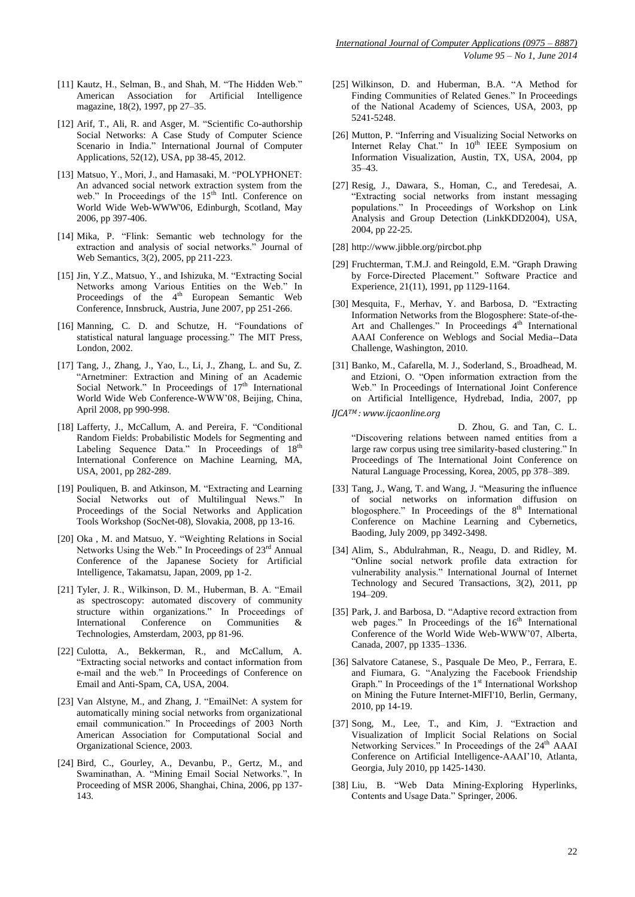- [11] Kautz, H., Selman, B., and Shah, M. "The Hidden Web." American Association for Artificial Intelligence magazine, 18(2), 1997, pp 27–35.
- [12] Arif, T., Ali, R. and Asger, M. "Scientific Co-authorship Social Networks: A Case Study of Computer Science Scenario in India." International Journal of Computer Applications, 52(12), USA, pp 38-45, 2012.
- [13] Matsuo, Y., Mori, J., and Hamasaki, M. "POLYPHONET: An advanced social network extraction system from the web." In Proceedings of the  $15<sup>th</sup>$  Intl. Conference on World Wide Web-WWW'06, Edinburgh, Scotland, May 2006, pp 397-406.
- [14] Mika, P. "Flink: Semantic web technology for the extraction and analysis of social networks." Journal of Web Semantics, 3(2), 2005, pp 211-223.
- [15] Jin, Y.Z., Matsuo, Y., and Ishizuka, M. "Extracting Social Networks among Various Entities on the Web." In Proceedings of the  $4<sup>th</sup>$  European Semantic Web Conference, Innsbruck, Austria, June 2007, pp 251-266.
- [16] Manning, C. D. and Schutze, H. "Foundations of statistical natural language processing." The MIT Press, London, 2002.
- [17] Tang, J., Zhang, J., Yao, L., Li, J., Zhang, L. and Su, Z. "Arnetminer: Extraction and Mining of an Academic Social Network." In Proceedings of  $17<sup>th</sup>$  International World Wide Web Conference-WWW'08, Beijing, China, April 2008, pp 990-998.
- [18] Lafferty, J., McCallum, A. and Pereira, F. "Conditional Random Fields: Probabilistic Models for Segmenting and Labeling Sequence Data." In Proceedings of 18<sup>th</sup> International Conference on Machine Learning, MA, USA, 2001, pp 282-289.
- [19] Pouliquen, B. and Atkinson, M. "Extracting and Learning Social Networks out of Multilingual News." In Proceedings of the Social Networks and Application Tools Workshop (SocNet-08), Slovakia, 2008, pp 13-16.
- [20] Oka , M. and Matsuo, Y. "Weighting Relations in Social Networks Using the Web." In Proceedings of 23rd Annual Conference of the Japanese Society for Artificial Intelligence, Takamatsu, Japan, 2009, pp 1-2.
- [21] Tyler, J. R., Wilkinson, D. M., Huberman, B. A. "Email as spectroscopy: automated discovery of community structure within organizations." In Proceedings of International Conference on Communities & Communities Technologies, Amsterdam, 2003, pp 81-96.
- [22] Culotta, A., Bekkerman, R., and McCallum, A. "Extracting social networks and contact information from e-mail and the web." In Proceedings of Conference on Email and Anti-Spam, CA, USA, 2004.
- [23] Van Alstyne, M., and Zhang, J. "EmailNet: A system for automatically mining social networks from organizational email communication." In Proceedings of 2003 North American Association for Computational Social and Organizational Science, 2003.
- [24] Bird, C., Gourley, A., Devanbu, P., Gertz, M., and Swaminathan, A. "Mining Email Social Networks.", In Proceeding of MSR 2006, Shanghai, China, 2006, pp 137- 143.
- [25] Wilkinson, D. and Huberman, B.A. "A Method for Finding Communities of Related Genes." In Proceedings of the National Academy of Sciences, USA, 2003, pp 5241-5248.
- [26] Mutton, P. "Inferring and Visualizing Social Networks on Internet Relay Chat." In 10<sup>th</sup> IEEE Symposium on Information Visualization, Austin, TX, USA, 2004, pp 35–43.
- [27] Resig, J., Dawara, S., Homan, C., and Teredesai, A. "Extracting social networks from instant messaging populations." In Proceedings of Workshop on Link Analysis and Group Detection (LinkKDD2004), USA, 2004, pp 22-25.
- [28] http://www.jibble.org/pircbot.php
- [29] Fruchterman, T.M.J. and Reingold, E.M. "Graph Drawing by Force-Directed Placement." Software Practice and Experience, 21(11), 1991, pp 1129-1164.
- [30] Mesquita, F., Merhav, Y. and Barbosa, D. "Extracting Information Networks from the Blogosphere: State-of-the-Art and Challenges." In Proceedings 4<sup>th</sup> International AAAI Conference on Weblogs and Social Media--Data Challenge, Washington, 2010.
- [31] Banko, M., Cafarella, M. J., Soderland, S., Broadhead, M. and Etzioni, O. "Open information extraction from the Web." In Proceedings of International Joint Conference on Artificial Intelligence, Hydrebad, India, 2007, pp
- 2670–2676. *IJCATM : www.ijcaonline.org*

D. Zhou, G. and Tan, C. L. "Discovering relations between named entities from a large raw corpus using tree similarity-based clustering." In Proceedings of The International Joint Conference on Natural Language Processing, Korea, 2005, pp 378–389.

- [33] Tang, J., Wang, T. and Wang, J. "Measuring the influence of social networks on information diffusion on blogosphere." In Proceedings of the 8<sup>th</sup> International Conference on Machine Learning and Cybernetics, Baoding, July 2009, pp 3492-3498.
- [34] Alim, S., Abdulrahman, R., Neagu, D. and Ridley, M. "Online social network profile data extraction for vulnerability analysis." International Journal of Internet Technology and Secured Transactions, 3(2), 2011, pp 194–209.
- [35] Park, J. and Barbosa, D. "Adaptive record extraction from web pages." In Proceedings of the 16<sup>th</sup> International Conference of the World Wide Web-WWW'07, Alberta, Canada, 2007, pp 1335–1336.
- [36] Salvatore Catanese, S., Pasquale De Meo, P., Ferrara, E. and Fiumara, G. "Analyzing the Facebook Friendship Graph." In Proceedings of the 1<sup>st</sup> International Workshop on Mining the Future Internet-MIFI'10, Berlin, Germany, 2010, pp 14-19.
- [37] Song, M., Lee, T., and Kim, J. "Extraction and Visualization of Implicit Social Relations on Social Networking Services." In Proceedings of the 24<sup>th</sup> AAAI Conference on Artificial Intelligence-AAAI'10, Atlanta, Georgia, July 2010, pp 1425-1430.
- [38] Liu, B. "Web Data Mining-Exploring Hyperlinks, Contents and Usage Data." Springer, 2006.